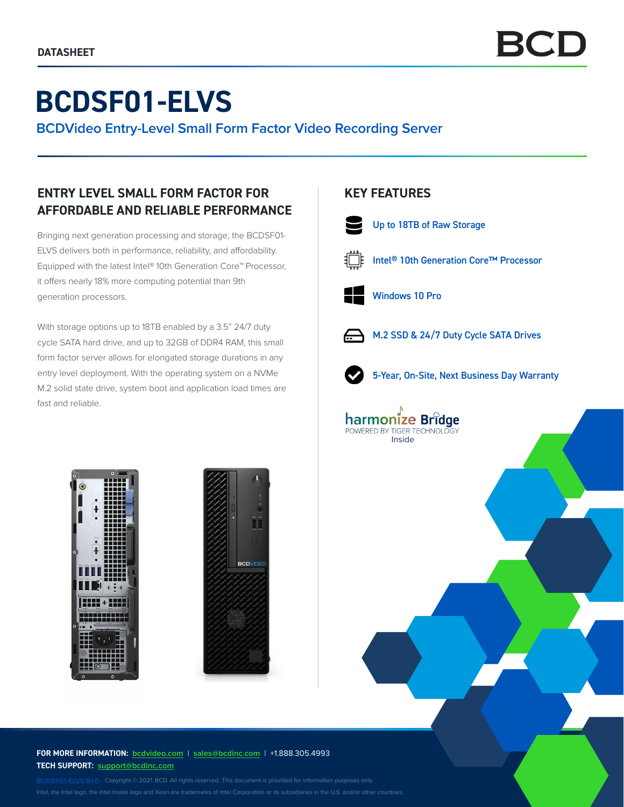# **BCDSF01-ELVS**

**BCDVideo Entry-Level Small Form Factor Video Recording Server**

## **ENTRY LEVEL SMALL FORM FACTOR FOR AFFORDABLE AND RELIABLE PERFORMANCE**

Bringing next generation processing and storage, the BCDSF01- ELVS delivers both in performance, reliability, and affordability. Equipped with the latest Intel® 10th Generation Core™ Processor, it offers nearly 18% more computing potential than 9th generation processors.

With storage options up to 18TB enabled by a 3.5" 24/7 duty cycle SATA hard drive, and up to 32GB of DDR4 RAM, this small form factor server allows for elongated storage durations in any entry level deployment. With the operating system on a NVMe M.2 solid state drive, system boot and application load times are fast and reliable.

### **KEY FEATURES**



Up to 18TB of Raw Storage



Intel® 10th Generation Core™ Processor



Windows 10 Pro

Inside

harmonize Bridge POWERED BY TIGER TECHNOLO



M.2 SSD & 24/7 Duty Cycle SATA Drives



5-Year, On-Site, Next Business Day Warranty





**FOR MORE INFORMATION: bcdvideo.com** | **[sales@bcdinc.com](mailto:sales%40bcdinc.com?subject=)** | +1.888.305.4993 **TECH SUPPORT: [support@bcdinc.com](mailto:support%40bcdinc.com?subject=)**

Intel, the Intel logo, the Intel Inside logo and Xeon are trademarks of Intel Corporation or its subsidiaries in the U.S. and/or other countries.